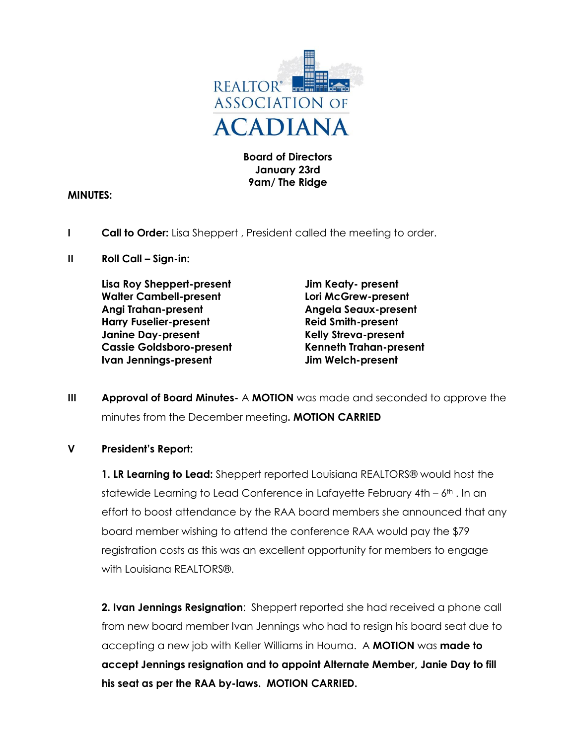

**Board of Directors January 23rd 9am/ The Ridge**

### **MINUTES:**

- **I Call to Order:** Lisa Sheppert , President called the meeting to order.
- **II Roll Call – Sign-in:**

**Lisa Roy Sheppert-present Jim Keaty- present Walter Cambell-present Lori McGrew-present Angi Trahan-present Angela Seaux-present Harry Fuselier-present Reid Smith-present Janine Day-present Kelly Streva-present Cassie Goldsboro-present Kenneth Trahan-present Ivan Jennings-present Jim Welch-present**

**III Approval of Board Minutes-** A **MOTION** was made and seconded to approve the minutes from the December meeting**. MOTION CARRIED**

### **V President's Report:**

**1. LR Learning to Lead:** Sheppert reported Louisiana REALTORS® would host the statewide Learning to Lead Conference in Lafayette February  $4th - 6th$ . In an effort to boost attendance by the RAA board members she announced that any board member wishing to attend the conference RAA would pay the \$79 registration costs as this was an excellent opportunity for members to engage with Louisiana REALTORS®

**2. Ivan Jennings Resignation**: Sheppert reported she had received a phone call from new board member Ivan Jennings who had to resign his board seat due to accepting a new job with Keller Williams in Houma. A **MOTION** was **made to accept Jennings resignation and to appoint Alternate Member, Janie Day to fill his seat as per the RAA by-laws. MOTION CARRIED.**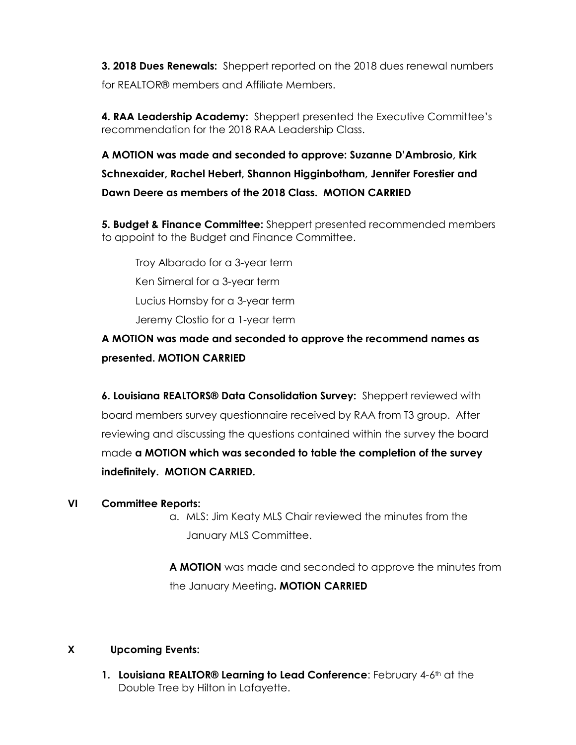**3. 2018 Dues Renewals:** Sheppert reported on the 2018 dues renewal numbers for REALTOR® members and Affiliate Members.

**4. RAA Leadership Academy:** Sheppert presented the Executive Committee's recommendation for the 2018 RAA Leadership Class.

**A MOTION was made and seconded to approve: Suzanne D'Ambrosio, Kirk Schnexaider, Rachel Hebert, Shannon Higginbotham, Jennifer Forestier and Dawn Deere as members of the 2018 Class. MOTION CARRIED**

**5. Budget & Finance Committee:** Sheppert presented recommended members to appoint to the Budget and Finance Committee.

Troy Albarado for a 3-year term Ken Simeral for a 3-year term Lucius Hornsby for a 3-year term Jeremy Clostio for a 1-year term

# **A MOTION was made and seconded to approve the recommend names as presented. MOTION CARRIED**

**6. Louisiana REALTORS® Data Consolidation Survey:** Sheppert reviewed with board members survey questionnaire received by RAA from T3 group. After reviewing and discussing the questions contained within the survey the board made **a MOTION which was seconded to table the completion of the survey indefinitely. MOTION CARRIED.** 

## **VI Committee Reports:**

a. MLS: Jim Keaty MLS Chair reviewed the minutes from the January MLS Committee.

**A MOTION** was made and seconded to approve the minutes from the January Meeting**. MOTION CARRIED**

## **X Upcoming Events:**

**1. Louisiana REALTOR® Learning to Lead Conference:** February 4-6<sup>th</sup> at the Double Tree by Hilton in Lafayette.